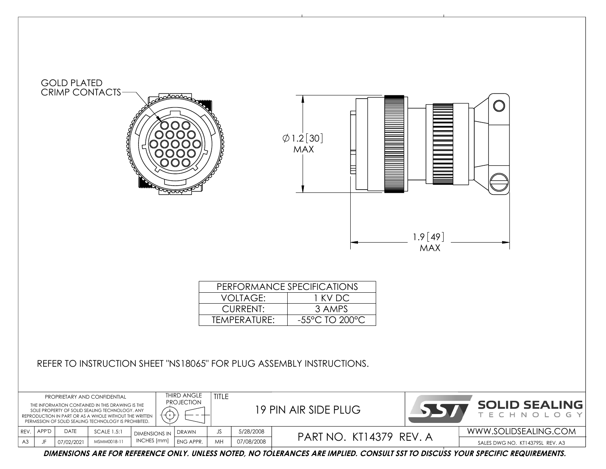

**DIMENSIONS ARE FOR REFERENCE ONLY. UNLESS NOTED, NO TOLERANCES ARE IMPLIED. CONSULT SST TO DISCUSS YOUR SPECIFIC REQUIREMENTS.**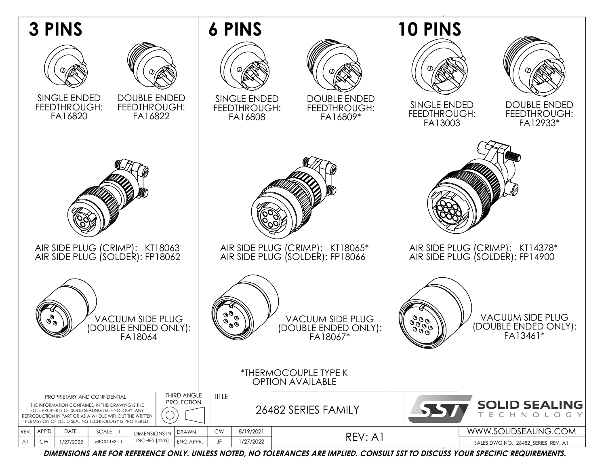

**DIMENSIONS ARE FOR REFERENCE ONLY. UNLESS NOTED, NO TOLERANCES ARE IMPLIED. CONSULT SST TO DISCUSS YOUR SPECIFIC REQUIREMENTS.**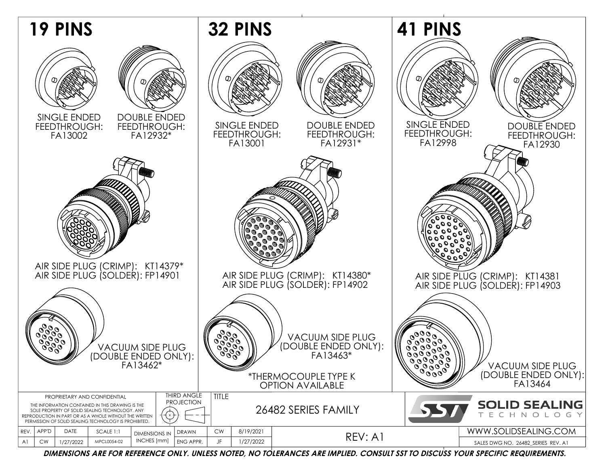

**DIMENSIONS ARE FOR REFERENCE ONLY. UNLESS NOTED, NO TOLERANCES ARE IMPLIED. CONSULT SST TO DISCUSS YOUR SPECIFIC REQUIREMENTS.**